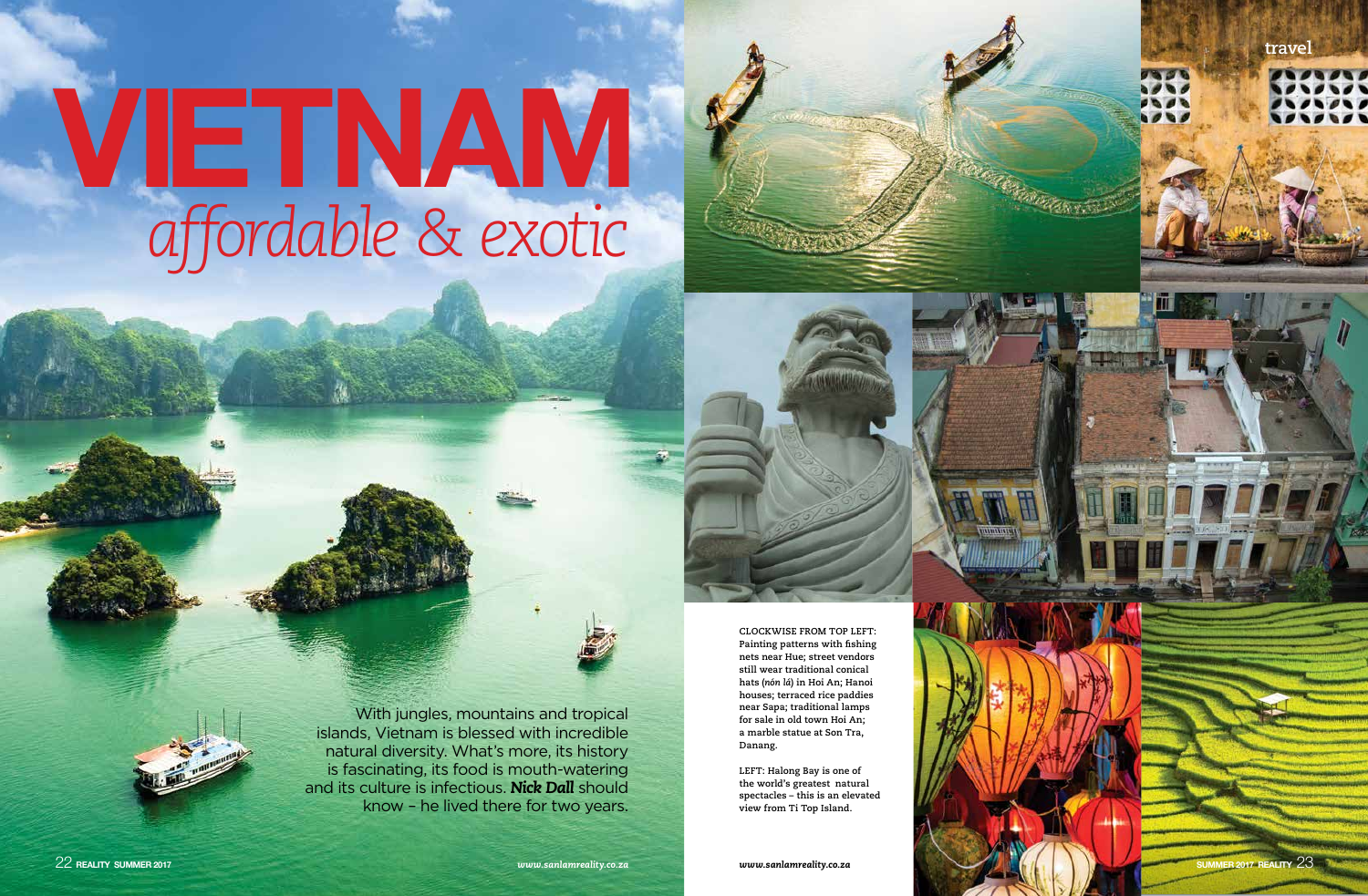

# *affordable & exotic* VIETNAM





With jungles, mountains and tropical islands, Vietnam is blessed with incredible natural diversity. What's more, its history is fascinating, its food is mouth-watering and its culture is infectious. *Nick Dall* should know – he lived there for two years.

*www.sanlamreality.co.za*

**CLOCKWISE FROM TOP LEFT: Painting patterns with fishing nets near Hue; street vendors still wear traditional conical hats (***nón lá***) in Hoi An; Hanoi houses; terraced rice paddies near Sapa; traditional lamps for sale in old town Hoi An; a marble statue at Son Tra, Danang.**

**LEFT: Halong Bay is one of the world's greatest natural spectacles – this is an elevated view from Ti Top Island.**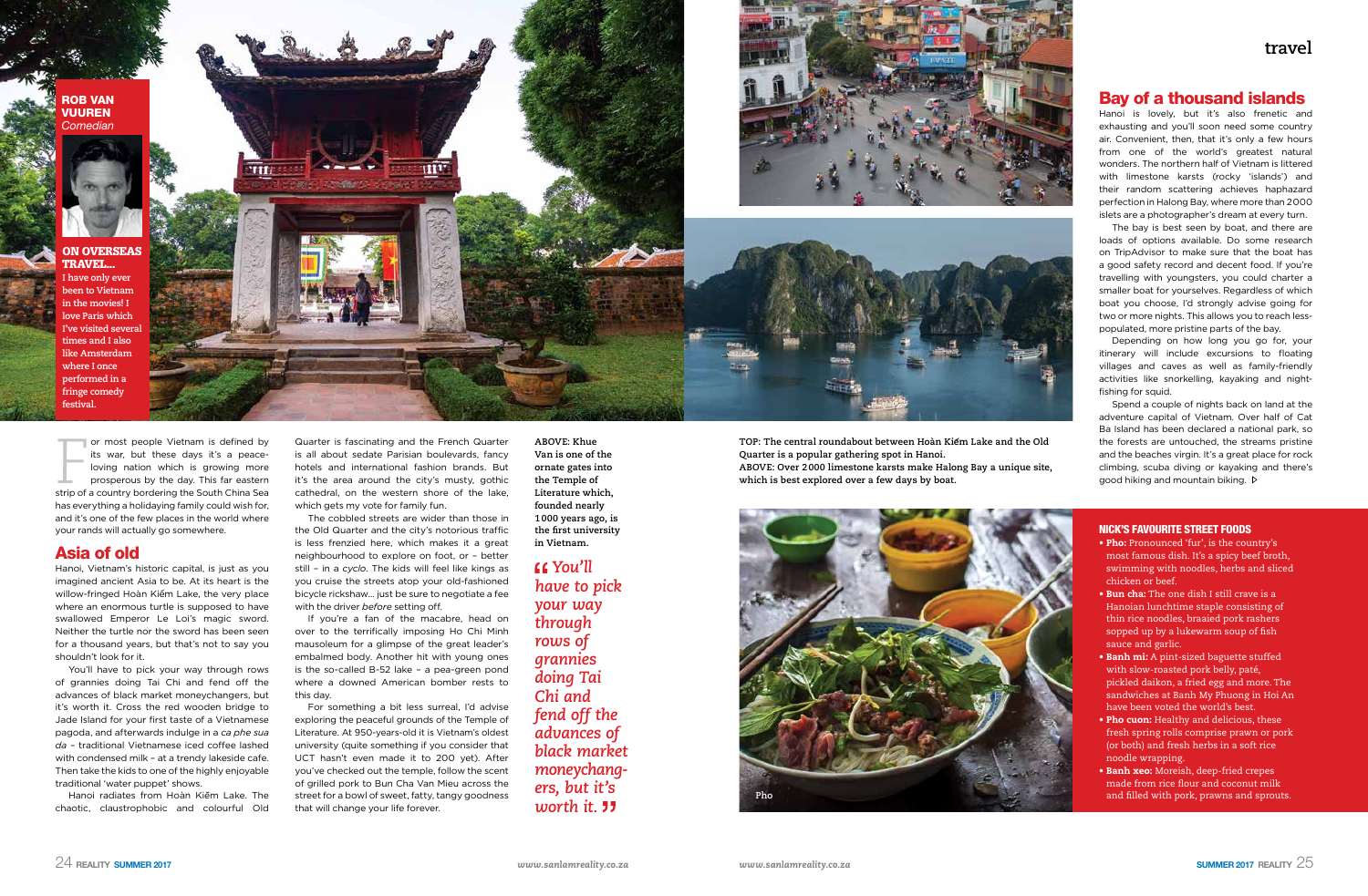# **travel**





Hanoi is lovely, but it's also frenetic and exhausting and you'll soon need some country air. Convenient, then, that it's only a few hours from one of the world's greatest natural wonders. The northern half of Vietnam is littered with limestone karsts (rocky 'islands') and their random scattering achieves haphazard perfection in Halong Bay, where more than 2000 islets are a photographer's dream at every turn.

The bay is best seen by boat, and there are loads of options available. Do some research on TripAdvisor to make sure that the boat has a good safety record and decent food. If you're travelling with youngsters, you could charter a smaller boat for yourselves. Regardless of which boat you choose, I'd strongly advise going for two or more nights. This allows you to reach lesspopulated, more pristine parts of the bay.

Depending on how long you go for, your itinerary will include excursions to floating villages and caves as well as family-friendly activities like snorkelling, kayaking and nightfishing for squid.

Spend a couple of nights back on land at the adventure capital of Vietnam. Over half of Cat Ba Island has been declared a national park, so the forests are untouched, the streams pristine and the beaches virgin. It's a great place for rock climbing, scuba diving or kayaking and there's good hiking and mountain biking.

Quarter is fascinating and the French Quarter is all about sedate Parisian boulevards, fancy hotels and international fashion brands. But it's the area around the city's musty, gothic cathedral, on the western shore of the lake, which gets my vote for family fun.

### NICK'S FAVOURITE STREET FOODS

- Pho: Pronounced 'fur', is the country's most famous dish. It's a spicy beef broth, swimming with noodles, herbs and sliced chicken or beef.
- Bun cha: The one dish I still crave is a Hanoian lunchtime staple consisting of thin rice noodles, braaied pork rashers sopped up by a lukewarm soup of fish sauce and garlic.
- Banh mi: A pint-sized baguette stuffed with slow-roasted pork belly, paté, pickled daikon, a fried egg and more. The sandwiches at Banh My Phuong in Hoi An have been voted the world's best.
- Pho cuon: Healthy and delicious, these fresh spring rolls comprise prawn or pork (or both) and fresh herbs in a soft rice noodle wrapping.
- Banh xeo: Moreish, deep-fried crepes made from rice flour and coconut milk and filled with pork, prawns and sprouts.

or most people Vietnam is defined by<br>its war, but these days it's a peace-<br>loving nation which is growing more<br>prosperous by the day. This far eastern<br>strip of a country bordering the South China Sea or most people Vietnam is defined by its war, but these days it's a peaceloving nation which is growing more prosperous by the day. This far eastern has everything a holidaying family could wish for, and it's one of the few places in the world where your rands will actually go somewhere.

**ABOVE: Khue Van is one of the ornate gates into the Temple of Literature which, founded nearly 1000 years ago, is the first university in Vietnam.**

**TOP: The central roundabout between Hoàn Kiem Lake and the Old Quarter is a popular gathering spot in Hanoi. ABOVE: Over 2000 limestone karsts make Halong Bay a unique site, which is best explored over a few days by boat.** 

Hanoi radiates from Hoàn Kiếm Lake. The chaotic, claustrophobic and colourful Old

*You'll have to pick your way through rows of grannies doing Tai Chi and fend off the advances of black market moneychangers, but it's*  worth it. **11** 



The cobbled streets are wider than those in the Old Quarter and the city's notorious traffic is less frenzied here, which makes it a great neighbourhood to explore on foot, or – better still – in a *cyclo*. The kids will feel like kings as you cruise the streets atop your old-fashioned bicycle rickshaw… just be sure to negotiate a fee with the driver *before* setting off.

If you're a fan of the macabre, head on over to the terrifically imposing Ho Chi Minh mausoleum for a glimpse of the great leader's embalmed body. Another hit with young ones is the so-called B-52 lake – a pea-green pond where a downed American bomber rests to this day.

For something a bit less surreal, I'd advise exploring the peaceful grounds of the Temple of Literature. At 950-years-old it is Vietnam's oldest university (quite something if you consider that UCT hasn't even made it to 200 yet). After you've checked out the temple, follow the scent of grilled pork to Bun Cha Van Mieu across the street for a bowl of sweet, fatty, tangy goodness that will change your life forever.

# Asia of old

Hanoi, Vietnam's historic capital, is just as you imagined ancient Asia to be. At its heart is the willow-fringed Hoàn Kiếm Lake, the very place where an enormous turtle is supposed to have swallowed Emperor Le Loi's magic sword. Neither the turtle nor the sword has been seen for a thousand years, but that's not to say you shouldn't look for it.

You'll have to pick your way through rows of grannies doing Tai Chi and fend off the advances of black market moneychangers, but it's worth it. Cross the red wooden bridge to Jade Island for your first taste of a Vietnamese pagoda, and afterwards indulge in a *ca phe sua da* – traditional Vietnamese iced coffee lashed with condensed milk – at a trendy lakeside cafe. Then take the kids to one of the highly enjoyable traditional 'water puppet' shows.

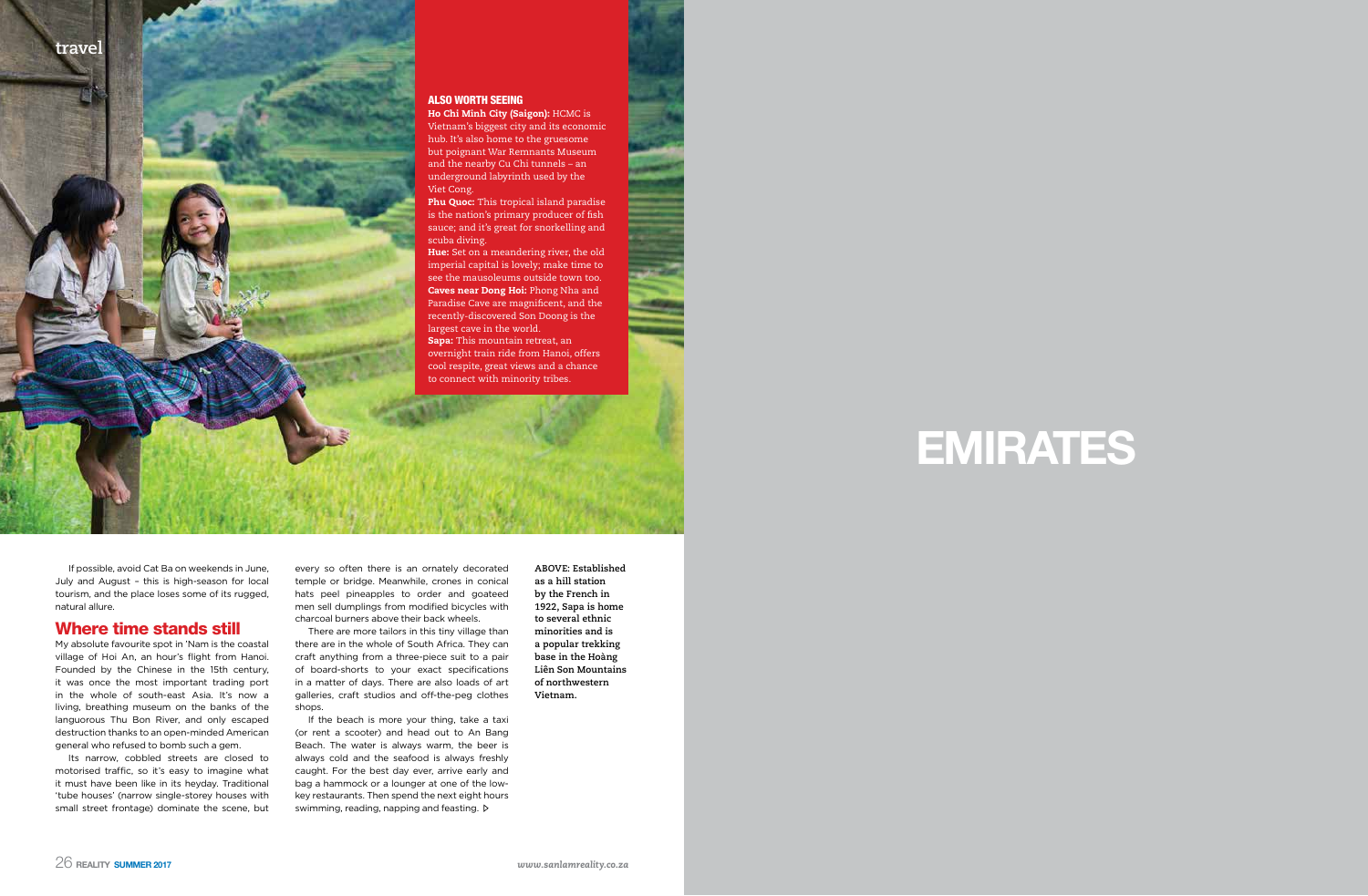



If possible, avoid Cat Ba on weekends in June, July and August – this is high-season for local tourism, and the place loses some of its rugged, natural allure.

# Where time stands still

My absolute favourite spot in 'Nam is the coastal village of Hoi An, an hour's flight from Hanoi. Founded by the Chinese in the 15th century, it was once the most important trading port in the whole of south-east Asia. It's now a living, breathing museum on the banks of the languorous Thu Bon River, and only escaped destruction thanks to an open-minded American general who refused to bomb such a gem.

Phu Quoc: This tropical island paradise is the nation's primary producer of fish sauce; and it's great for snorkelling and scuba diving.

Hue: Set on a meandering river, the old imperial capital is lovely; make time to see the mausoleums outside town too. Caves near Dong Hoi: Phong Nha and Paradise Cave are magnificent, and the recently-discovered Son Doong is the largest cave in the world.

Its narrow, cobbled streets are closed to motorised traffic, so it's easy to imagine what it must have been like in its heyday. Traditional 'tube houses' (narrow single-storey houses with small street frontage) dominate the scene, but

#### ALSO WORTH SEEING

Ho Chi Minh City (Saigon): HCMC is Vietnam's biggest city and its economic hub. It's also home to the gruesome but poignant War Remnants Museum and the nearby Cu Chi tunnels – an underground labyrinth used by the Viet Cong.

If the beach is more your thing, take a taxi (or rent a scooter) and head out to An Bang Beach. The water is always warm, the beer is always cold and the seafood is always freshly caught. For the best day ever, arrive early and bag a hammock or a lounger at one of the lowkey restaurants. Then spend the next eight hours swimming, reading, napping and feasting.  $\triangleright$ 

Sapa: This mountain retreat, an overnight train ride from Hanoi, offers cool respite, great views and a chance to connect with minority tribes.

every so often there is an ornately decorated temple or bridge. Meanwhile, crones in conical hats peel pineapples to order and goateed men sell dumplings from modified bicycles with charcoal burners above their back wheels.

There are more tailors in this tiny village than there are in the whole of South Africa. They can craft anything from a three-piece suit to a pair of board-shorts to your exact specifications in a matter of days. There are also loads of art galleries, craft studios and off-the-peg clothes shops.

**ABOVE: Established as a hill station by the French in 1922, Sapa is home to several ethnic minorities and is a popular trekking base in the Hoàng Liên Son Mountains of northwestern Vietnam.**